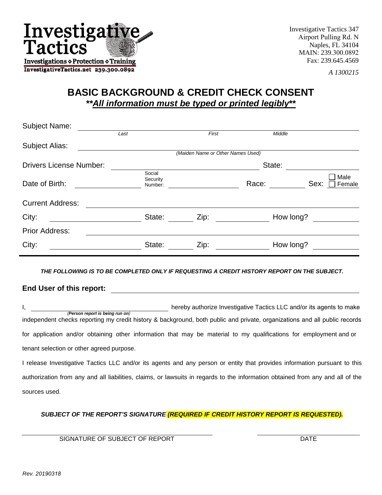

Investigative Tactics 347 Airport Pulling Rd. N Naples, FL 34104 MAIN: 239.300.0892 Fax: 239.645.4569

*A 1300215*

## **BASIC BACKGROUND & CREDIT CHECK CONSENT**  *\*\*All information must be typed or printed legibly***\*\***

| <b>Subject Name:</b>           |                               |                                   |           |                        |  |  |
|--------------------------------|-------------------------------|-----------------------------------|-----------|------------------------|--|--|
|                                | Last                          | First                             | Middle    |                        |  |  |
| Subject Alias:                 |                               |                                   |           |                        |  |  |
|                                |                               | (Maiden Name or Other Names Used) |           |                        |  |  |
| <b>Drivers License Number:</b> |                               | State:                            |           |                        |  |  |
| Date of Birth:                 | Social<br>Security<br>Number: |                                   | Race:     | Male<br>Sex:<br>Female |  |  |
| <b>Current Address:</b>        |                               |                                   |           |                        |  |  |
| City:                          | State:                        | Zip:                              | How long? |                        |  |  |
| <b>Prior Address:</b>          |                               |                                   |           |                        |  |  |
| City:                          | State:                        | Zip:                              | How long? |                        |  |  |

*THE FOLLOWING IS TO BE COMPLETED ONLY IF REQUESTING A CREDIT HISTORY REPORT ON THE SUBJECT.* 

**End User of this report:** 

I, hereby authorize Investigative Tactics LLC and/or its agents to make *(Person report is being run on)*  independent checks reporting my credit history & background, both public and private, organizations and all public records for application and/or obtaining other information that may be material to my qualifications for employment and or tenant selection or other agreed purpose.

I release Investigative Tactics LLC and/or its agents and any person or entity that provides information pursuant to this authorization from any and all liabilities, claims, or lawsuits in regards to the information obtained from any and all of the sources used.

*SUBJECT OF THE REPORT'S SIGNATURE (REQUIRED IF CREDIT HISTORY REPORT IS REQUESTED).* 

SIGNATURE OF SUBJECT OF REPORT THE RESIDENCE OF SUBJECT OF REPORT